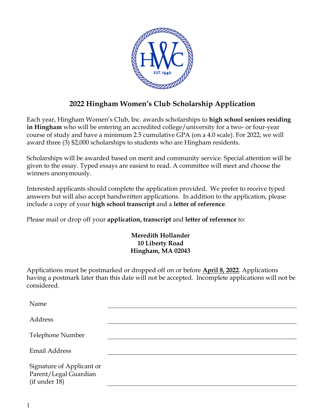

## **2022 Hingham Women's Club Scholarship Application**

Each year, Hingham Women's Club, Inc. awards scholarships to **high school seniors residing in Hingham** who will be entering an accredited college/university for a two- or four-year course of study and have a minimum 2.5 cumulative GPA (on a 4.0 scale). For 2022, we will award three (3) \$2,000 scholarships to students who are Hingham residents.

Scholarships will be awarded based on merit and community service. Special attention will be given to the essay. Typed essays are easiest to read. A committee will meet and choose the winners anonymously.

Interested applicants should complete the application provided. We prefer to receive typed answers but will also accept handwritten applications. In addition to the application, please include a copy of your **high school transcript** and a **letter of reference**.

Please mail or drop off your **application, transcript** and **letter of reference** to:

## **Meredith Hollander 10 Liberty Road Hingham, MA 02043**

Applications must be postmarked or dropped off on or before **April 8, 2022**. Applications having a postmark later than this date will not be accepted. Incomplete applications will not be considered.

| Name                                                                |  |
|---------------------------------------------------------------------|--|
| <b>Address</b>                                                      |  |
| Telephone Number                                                    |  |
| <b>Email Address</b>                                                |  |
| Signature of Applicant or<br>Parent/Legal Guardian<br>(if under 18) |  |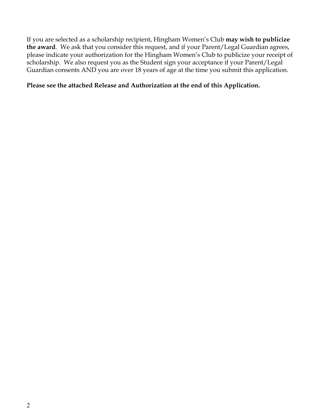If you are selected as a scholarship recipient, Hingham Women's Club **may wish to publicize the award**. We ask that you consider this request, and if your Parent/Legal Guardian agrees, please indicate your authorization for the Hingham Women's Club to publicize your receipt of scholarship. We also request you as the Student sign your acceptance if your Parent/Legal Guardian consents AND you are over 18 years of age at the time you submit this application.

## **Please see the attached Release and Authorization at the end of this Application.**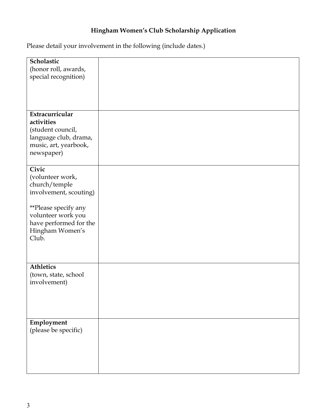# **Hingham Women's Club Scholarship Application**

Please detail your involvement in the following (include dates.)

| Scholastic<br>(honor roll, awards,                           |  |
|--------------------------------------------------------------|--|
| special recognition)                                         |  |
|                                                              |  |
|                                                              |  |
| Extracurricular<br>activities<br>(student council,           |  |
| language club, drama,<br>music, art, yearbook,<br>newspaper) |  |
|                                                              |  |
| Civic<br>(volunteer work,<br>church/temple                   |  |
| involvement, scouting)                                       |  |
| **Please specify any<br>volunteer work you                   |  |
| have performed for the<br>Hingham Women's                    |  |
| Club.                                                        |  |
|                                                              |  |
| <b>Athletics</b><br>(town, state, school                     |  |
| involvement)                                                 |  |
|                                                              |  |
|                                                              |  |
| Employment<br>(please be specific)                           |  |
|                                                              |  |
|                                                              |  |
|                                                              |  |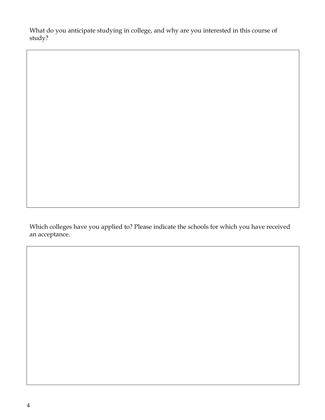What do you anticipate studying in college, and why are you interested in this course of study?

Which colleges have you applied to? Please indicate the schools for which you have received an acceptance.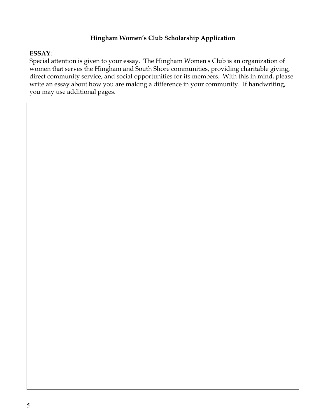### **Hingham Women's Club Scholarship Application**

#### **ESSAY**:

Special attention is given to your essay. The Hingham Women's Club is an organization of women that serves the Hingham and South Shore communities, providing charitable giving, direct community service, and social opportunities for its members. With this in mind, please write an essay about how you are making a difference in your community. If handwriting, you may use additional pages.